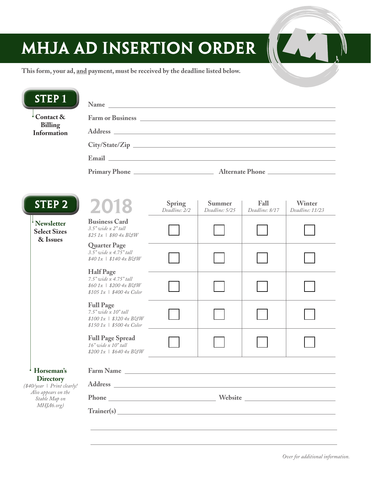## MHJA AD INSERTION ORDER



| <b>STEP1</b>                                                                                          | Name and the state of the state of the state of the state of the state of the state of the state of the state of the state of the state of the state of the state of the state of the state of the state of the state of the s |                                                                         |  |  |  |        |      |                                |                                 |                               |
|-------------------------------------------------------------------------------------------------------|--------------------------------------------------------------------------------------------------------------------------------------------------------------------------------------------------------------------------------|-------------------------------------------------------------------------|--|--|--|--------|------|--------------------------------|---------------------------------|-------------------------------|
| Contact &                                                                                             |                                                                                                                                                                                                                                |                                                                         |  |  |  |        |      |                                |                                 |                               |
| <b>Billing</b><br>Information                                                                         | Address experiences and the set of the set of the set of the set of the set of the set of the set of the set of the set of the set of the set of the set of the set of the set of the set of the set of the set of the set of  |                                                                         |  |  |  |        |      |                                |                                 |                               |
|                                                                                                       |                                                                                                                                                                                                                                |                                                                         |  |  |  |        |      |                                |                                 |                               |
|                                                                                                       |                                                                                                                                                                                                                                |                                                                         |  |  |  | STEP 2 | 2018 | <b>Spring</b><br>Deadline: 2/2 | <b>Summer</b><br>Deadline: 5/25 | <b>Fall</b><br>Deadline: 8/17 |
|                                                                                                       | <b>Newsletter</b><br><b>Select Sizes</b><br>& Issues                                                                                                                                                                           | <b>Business Card</b><br>$3.5"$ wide $x 2"$ tall<br>$$251x$   \$804x BGW |  |  |  |        |      |                                |                                 |                               |
| <b>Quarter Page</b><br>$3.5$ " wide x $4.75$ " tall<br>$$401x$   \$140 $4x$ BGW                       |                                                                                                                                                                                                                                |                                                                         |  |  |  |        |      |                                |                                 |                               |
| <b>Half Page</b><br>7.5" wide x 4.75" tall<br>$$601x$   \$2004x BGW<br>$$105\ 1x$   $$400\ 4x\ Color$ |                                                                                                                                                                                                                                |                                                                         |  |  |  |        |      |                                |                                 |                               |
| <b>Full Page</b><br>$7.5"$ wide $x$ $10"$ tall<br>$$1001x$   \$3204x BGW<br>$$1501x$   \$500 4x Color |                                                                                                                                                                                                                                |                                                                         |  |  |  |        |      |                                |                                 |                               |
| <b>Full Page Spread</b><br>$16"$ wide x $10"$ tall<br>$$2001x$   \$640 4x BGW                         |                                                                                                                                                                                                                                |                                                                         |  |  |  |        |      |                                |                                 |                               |
| Horseman's                                                                                            | Farm Name Lawrence and the state of the state of the state of the state of the state of the state of the state of the state of the state of the state of the state of the state of the state of the state of the state of the  |                                                                         |  |  |  |        |      |                                |                                 |                               |
| <b>Directory</b><br>(\$40/year   Print clearly!<br>Also appears on the<br>Stable Map on<br>MHJA6.org) | Address and the state of the state of the state of the state of the state of the state of the state of the state of the state of the state of the state of the state of the state of the state of the state of the state of th |                                                                         |  |  |  |        |      |                                |                                 |                               |
|                                                                                                       | Website New York Changes and Changes and Changes and Changes and Changes and Changes and Changes and Changes and Changes and Changes and Changes and Changes and Changes and Changes and Changes and Changes and Changes and C |                                                                         |  |  |  |        |      |                                |                                 |                               |
|                                                                                                       | Trainer(s) Trainer(s)                                                                                                                                                                                                          |                                                                         |  |  |  |        |      |                                |                                 |                               |

W